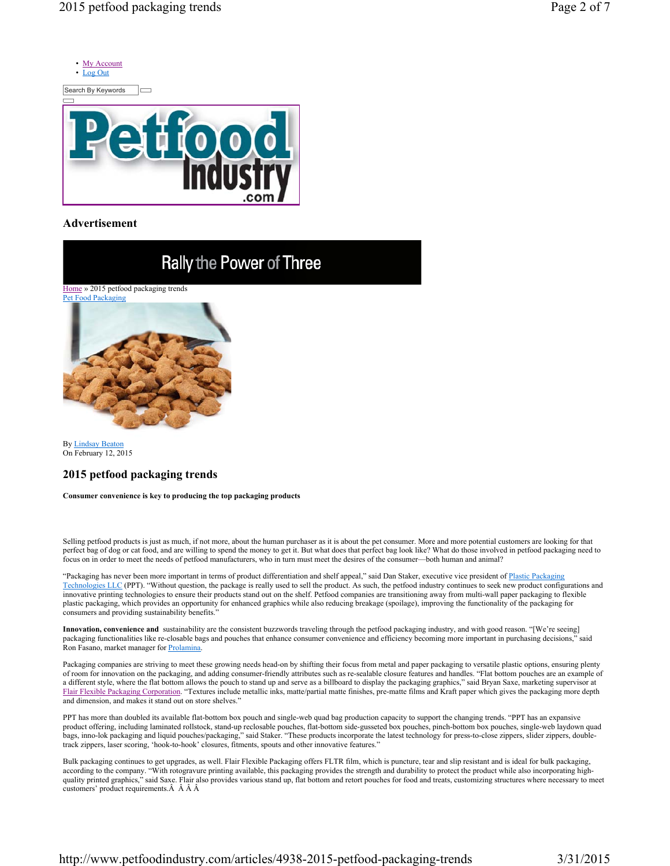

## **Advertisement**



By Lindsay Beaton On February 12, 2015

## **2015 petfood packaging trends**

**Consumer convenience is key to producing the top packaging products**

Selling petfood products is just as much, if not more, about the human purchaser as it is about the pet consumer. More and more potential customers are looking for that perfect bag of dog or cat food, and are willing to spend the money to get it. But what does that perfect bag look like? What do those involved in petfood packaging need to focus on in order to meet the needs of petfood manufacturers, who in turn must meet the desires of the consumer—both human and animal?

"Packaging has never been more important in terms of product differentiation and shelf appeal," said Dan Staker, executive vice president of Plastic Packaging Technologies LLC (PPT). "Without question, the package is really used to sell the product. As such, the petfood industry continues to seek new product configurations and innovative printing technologies to ensure their products stand out on the shelf. Petfood companies are transitioning away from multi-wall paper packaging to flexible plastic packaging, which provides an opportunity for enhanced graphics while also reducing breakage (spoilage), improving the functionality of the packaging for consumers and providing sustainability benefits."

**Innovation, convenience and** sustainability are the consistent buzzwords traveling through the petfood packaging industry, and with good reason. "[We're seeing] packaging functionalities like re-closable bags and pouches that enhance consumer convenience and efficiency becoming more important in purchasing decisions," said Ron Fasano, market manager for Prolamina.

Packaging companies are striving to meet these growing needs head-on by shifting their focus from metal and paper packaging to versatile plastic options, ensuring plenty of room for innovation on the packaging, and adding consumer-friendly attributes such as re-sealable closure features and handles. "Flat bottom pouches are an example of a different style, where the flat bottom allows the pouch to stand up and serve as a billboard to display the packaging graphics," said Bryan Saxe, marketing supervisor at Flair Flexible Packaging Corporation. "Textures include metallic inks, matte/partial matte finishes, pre-matte films and Kraft paper which gives the packaging more depth and dimension, and makes it stand out on store shelves."

PPT has more than doubled its available flat-bottom box pouch and single-web quad bag production capacity to support the changing trends. "PPT has an expansive product offering, including laminated rollstock, stand-up reclosable pouches, flat-bottom side-gusseted box pouches, pinch-bottom box pouches, single-web laydown quad bags, inno-lok packaging and liquid pouches/packaging," said Staker. "These products incorporate the latest technology for press-to-close zippers, slider zippers, doubletrack zippers, laser scoring, 'hook-to-hook' closures, fitments, spouts and other innovative features."

Bulk packaging continues to get upgrades, as well. Flair Flexible Packaging offers FLTR film, which is puncture, tear and slip resistant and is ideal for bulk packaging, according to the company. "With rotogravure printing available, this packaging provides the strength and durability to protect the product while also incorporating highquality printed graphics," said Saxe. Flair also provides various stand up, flat bottom and retort pouches for food and treats, customizing structures where necessary to meet customers' product requirements.  $\hat{A}$   $\hat{A}$   $\hat{A}$   $\hat{A}$